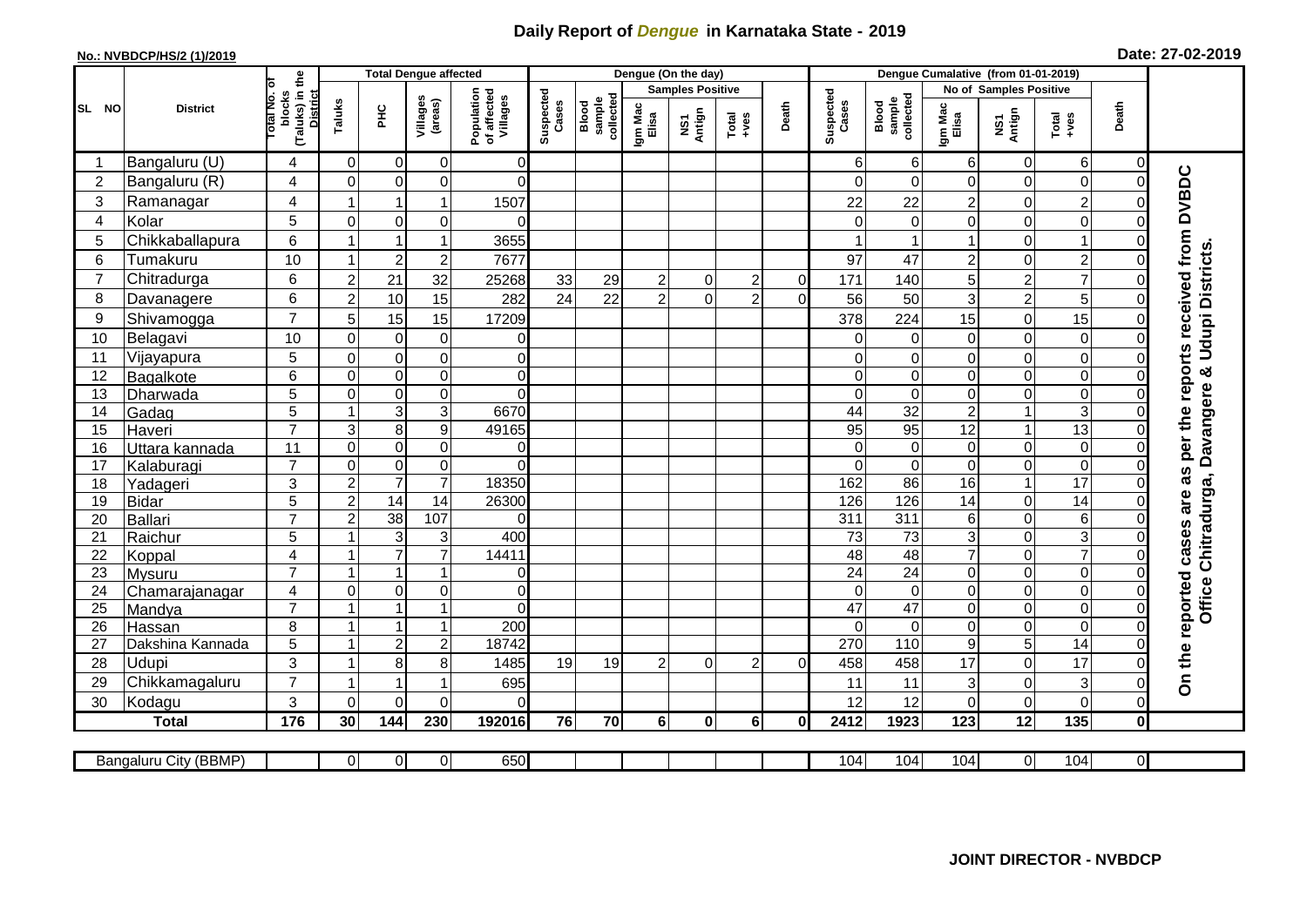## **Daily Report of** *Dengue* **in Karnataka State - 2019**

## **No.: NVBDCP/HS/2 (1)/2019 Date: 27-02-2019**

|                |                       |                                        |                      | <b>Total Dengue affected</b>     |                           |                                       |                    |                              |                  | Dengue (On the day)              |                  |              |                    |                              |                  |                               |                                                                      |                |                                                                  |
|----------------|-----------------------|----------------------------------------|----------------------|----------------------------------|---------------------------|---------------------------------------|--------------------|------------------------------|------------------|----------------------------------|------------------|--------------|--------------------|------------------------------|------------------|-------------------------------|----------------------------------------------------------------------|----------------|------------------------------------------------------------------|
|                |                       | ō                                      |                      |                                  |                           |                                       |                    |                              |                  | <b>Samples Positive</b>          |                  |              |                    |                              |                  | <b>No of Samples Positive</b> |                                                                      |                |                                                                  |
| SL NO          | <b>District</b>       | (Taluks) in the<br>lotal No.<br>blocks | Taluks               | ΞÉ                               | Villages<br>(areas)       | Population<br>of affected<br>Villages | Suspected<br>Cases | Blood<br>sample<br>collected | Igm Mac<br>Elisa | Antign<br>$\overline{\text{MS}}$ | $Total$          | Death        | Suspected<br>Cases | Blood<br>sample<br>collected | Igm Mac<br>Elisa | NS1<br>Antign                 | $\begin{array}{c}\n\text{Total} \\ \text{1} & \text{1}\n\end{array}$ | Death          |                                                                  |
| -1             | Bangaluru (U)         | 4                                      | $\overline{0}$       | 0                                | $\overline{0}$            | 0                                     |                    |                              |                  |                                  |                  |              | 61                 | $6 \mid$                     | 6                | 0                             | 6                                                                    | 0              |                                                                  |
| $\overline{2}$ | Bangaluru (R)         | 4                                      | $\Omega$             | $\mathbf 0$                      | 0                         | $\overline{0}$                        |                    |                              |                  |                                  |                  |              | $\Omega$           | $\Omega$                     | $\Omega$         | 0                             | $\mathbf 0$                                                          | $\Omega$       |                                                                  |
| 3              | Ramanagar             | 4                                      |                      | $\mathbf 1$                      | $\mathbf{1}$              | 1507                                  |                    |                              |                  |                                  |                  |              | 22                 | 22                           | 2                | 0                             | $\overline{c}$                                                       | $\Omega$       | On the reported cases are as per the reports received from DVBDC |
| 4              | Kolar                 | 5                                      | $\mathbf 0$          | $\mathbf 0$                      | $\mathbf 0$               | $\Omega$                              |                    |                              |                  |                                  |                  |              | $\Omega$           | $\Omega$                     | $\Omega$         | 0                             | $\mathbf 0$                                                          | $\Omega$       |                                                                  |
| 5              | Chikkaballapura       | 6                                      | $\mathbf{1}$         | $\mathbf{1}$                     | $\mathbf{1}$              | 3655                                  |                    |                              |                  |                                  |                  |              |                    |                              |                  | 0                             | $\mathbf{1}$                                                         | 0              |                                                                  |
| 6              | Tumakuru              | 10                                     | -1                   | $\overline{2}$                   | $\overline{\mathbf{c}}$   | 7677                                  |                    |                              |                  |                                  |                  |              | 97                 | 47                           | $\overline{c}$   | 0                             | $\overline{c}$                                                       | $\Omega$       | <b>Udupi Districts</b>                                           |
| 7              | Chitradurga           | 6                                      | $\boldsymbol{2}$     | 21                               | 32                        | 25268                                 | 33                 | 29                           | $\overline{c}$   | 0                                | $\boldsymbol{2}$ | $\mathbf 0$  | 171                | 140                          | 5                | $\overline{\mathbf{c}}$       | $\overline{7}$                                                       | $\mathbf 0$    |                                                                  |
| 8              | Davanagere            | 6                                      | $\overline{2}$       | 10                               | 15                        | 282                                   | 24                 | 22                           | $\overline{2}$   | $\Omega$                         | $\overline{2}$   | $\Omega$     | 56                 | 50                           | 3                | $\overline{c}$                | 5                                                                    | $\mathbf 0$    |                                                                  |
| 9              | Shivamogga            | $\overline{7}$                         | 5                    | 15                               | 15                        | 17209                                 |                    |                              |                  |                                  |                  |              | 378                | 224                          | 15               | 0                             | 15                                                                   | $\Omega$       |                                                                  |
| 10             | Belagavi              | 10                                     | $\Omega$             | $\mathbf 0$                      | $\pmb{0}$                 | 0                                     |                    |                              |                  |                                  |                  |              | 0                  | 0                            | 0                | 0                             | 0                                                                    | $\mathcal{C}$  |                                                                  |
| 11             | Vijayapura            | 5                                      | $\Omega$             | $\mathbf 0$                      | $\mathsf 0$               | $\overline{0}$                        |                    |                              |                  |                                  |                  |              | 0                  | $\Omega$                     | 0                | 0                             | $\mathbf 0$                                                          | $\Omega$       |                                                                  |
| 12             | Bagalkote             | 6                                      | $\mathbf 0$          | $\mathbf 0$                      | $\overline{0}$            | $\overline{0}$                        |                    |                              |                  |                                  |                  |              | $\Omega$           | $\overline{0}$               | $\mathbf 0$      | $\mathbf 0$                   | $\overline{0}$                                                       | $\Omega$       | ×                                                                |
| 13             | Dharwada              | $\overline{5}$                         | $\mathbf 0$          | $\mathbf 0$                      | $\overline{0}$            | $\overline{0}$                        |                    |                              |                  |                                  |                  |              | $\Omega$           | $\mathbf 0$                  | $\mathbf 0$      | $\boldsymbol{0}$              | $\overline{0}$                                                       | $\Omega$       | Chitradurga, Davangere                                           |
| 14             | Gadag                 | $\overline{5}$                         | $\mathbf{1}$         | $\overline{3}$                   | $\overline{3}$            | 6670                                  |                    |                              |                  |                                  |                  |              | $\overline{44}$    | 32                           | $\overline{c}$   | $\mathbf{1}$                  | 3                                                                    | $\mathbf 0$    |                                                                  |
| 15             | Haveri                | $\overline{7}$                         | 3                    | 8                                | $\boldsymbol{9}$          | 49165                                 |                    |                              |                  |                                  |                  |              | 95                 | 95                           | 12               | $\mathbf{1}$                  | 13                                                                   | $\Omega$       |                                                                  |
| 16             | Uttara kannada        | 11                                     | $\Omega$             | $\mathbf 0$                      | 0                         | $\overline{0}$                        |                    |                              |                  |                                  |                  |              | $\Omega$           | $\Omega$                     | $\Omega$         | 0                             | $\overline{0}$                                                       | $\Omega$       |                                                                  |
| 17             | Kalaburagi            | $\overline{7}$                         | $\mathbf 0$          | $\mathbf 0$                      | $\overline{0}$            | $\overline{0}$                        |                    |                              |                  |                                  |                  |              | $\Omega$           | $\overline{0}$               | $\Omega$         | 0                             | $\overline{0}$                                                       | $\mathbf 0$    |                                                                  |
| 18             | Yadageri              | 3                                      | $\overline{c}$       | $\overline{7}$                   | $\overline{7}$            | 18350                                 |                    |                              |                  |                                  |                  |              | 162                | 86                           | 16               | $\overline{1}$                | $\overline{17}$                                                      | $\Omega$       |                                                                  |
| 19             | <b>Bidar</b>          | 5                                      | $\overline{2}$       | $\overline{14}$                  | $\overline{14}$           | 26300                                 |                    |                              |                  |                                  |                  |              | 126                | 126                          | 14               | 0                             | $\overline{14}$                                                      | $\Omega$       |                                                                  |
| 20             | <b>Ballari</b>        | $\overline{7}$                         | $\overline{2}$       | $\overline{38}$                  | 107                       | $\Omega$                              |                    |                              |                  |                                  |                  |              | 311                | 311                          | 6                | 0                             | 6                                                                    | C              |                                                                  |
| 21             | Raichur               | 5                                      |                      | 3                                | $\ensuremath{\mathsf{3}}$ | 400                                   |                    |                              |                  |                                  |                  |              | $\overline{73}$    | $\overline{73}$              | 3                | 0                             | ω                                                                    | $\Omega$       |                                                                  |
| 22             | Koppal                | 4                                      |                      | $\overline{7}$                   | $\overline{7}$            | 14411                                 |                    |                              |                  |                                  |                  |              | 48                 | 48                           | $\overline{7}$   | $\boldsymbol{0}$              | $\overline{7}$                                                       | $\mathbf 0$    |                                                                  |
| 23             | Mysuru                | $\overline{7}$                         | -1                   | $\overline{1}$                   | $\overline{1}$            | $\overline{0}$                        |                    |                              |                  |                                  |                  |              | $\overline{24}$    | 24                           | 0                | 0                             | $\overline{0}$                                                       | $\mathbf 0$    |                                                                  |
| 24             | Chamarajanagar        | $\overline{4}$                         | $\mathbf 0$          | $\pmb{0}$                        | $\overline{0}$            | $\overline{0}$                        |                    |                              |                  |                                  |                  |              | $\Omega$           | $\mathbf 0$                  | 0                | 0                             | $\overline{0}$                                                       | $\mathbf 0$    |                                                                  |
| 25             | Mandya                | $\overline{7}$                         | -1<br>$\overline{ }$ | $\overline{1}$<br>$\overline{1}$ | $\mathbf{1}$              | $\Omega$                              |                    |                              |                  |                                  |                  |              | 47                 | $\overline{47}$              | 0                | 0                             | $\overline{0}$                                                       | 0              | Office                                                           |
| 26             | Hassan                | 8                                      | $\overline{1}$       |                                  | $\mathbf{1}$              | 200                                   |                    |                              |                  |                                  |                  |              | $\Omega$           | $\Omega$                     | $\Omega$         | 0                             | $\overline{0}$                                                       | $\mathbf 0$    |                                                                  |
| 27             | Dakshina Kannada      | 5                                      |                      | $\overline{2}$                   | $\boldsymbol{2}$          | 18742                                 |                    |                              |                  |                                  |                  |              | 270                | 110                          | 9                | 5                             | $\overline{14}$                                                      | $\mathbf 0$    |                                                                  |
| 28             | Udupi                 | 3<br>$\overline{7}$                    |                      | 8                                | 8                         | 1485                                  | 19                 | 19                           | $\mathfrak{p}$   | $\Omega$                         | $\overline{2}$   | $\Omega$     | 458                | 458                          | 17               | 0                             | 17                                                                   | $\Omega$       |                                                                  |
| 29             | Chikkamagaluru        |                                        |                      | 1                                | $\overline{1}$            | 695                                   |                    |                              |                  |                                  |                  |              | 11                 | 11                           | 3                | 0                             | 3                                                                    | $\Omega$       |                                                                  |
| 30             | Kodagu                | 3                                      | $\Omega$             | $\Omega$                         | 0                         | $\Omega$                              |                    |                              |                  |                                  |                  |              | 12                 | 12                           | $\Omega$         | 0                             | $\overline{0}$                                                       | $\Omega$       |                                                                  |
|                | <b>Total</b>          | 176                                    | 30                   | 144                              | 230                       | 192016                                | 76                 | 70                           | $6 \mid$         | $\bf{0}$                         | 6 <sup>1</sup>   | $\mathbf{0}$ | 2412               | 1923                         | 123              | $\overline{12}$               | $\overline{135}$                                                     | $\pmb{0}$      |                                                                  |
|                | Bangaluru City (BBMP) |                                        | $\overline{0}$       | $\overline{0}$                   | $\overline{0}$            | 650                                   |                    |                              |                  |                                  |                  |              | 104                | 104                          | 104              | $\overline{0}$                | 104                                                                  | $\overline{0}$ |                                                                  |